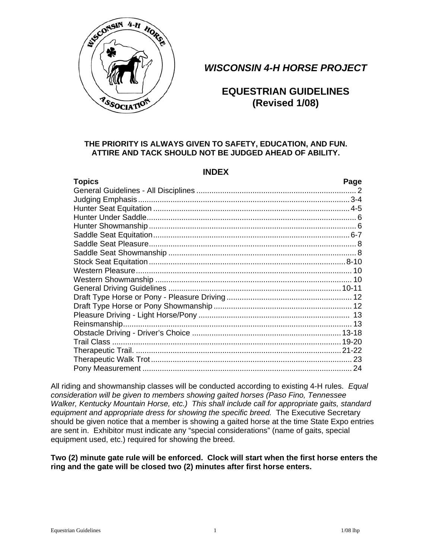

# *WISCONSIN 4-H HORSE PROJECT*

# **EQUESTRIAN GUIDELINES**

# **THE PRIORITY IS ALWAYS GIVEN TO SAFETY, EDUCATION, AND FUN. ATTIRE AND TACK SHOULD NOT BE JUDGED AHEAD OF ABILITY.**

# **INDEX**

| <b>Topics</b> | Page |
|---------------|------|
|               |      |
|               |      |
|               |      |
|               |      |
|               |      |
|               |      |
|               |      |
|               |      |
|               |      |
|               |      |
|               |      |
|               |      |
|               |      |
|               |      |
|               |      |
|               |      |
|               |      |
|               |      |
|               |      |
|               |      |
|               |      |

All riding and showmanship classes will be conducted according to existing 4-H rules. *Equal consideration will be given to members showing gaited horses (Paso Fino, Tennessee Walker, Kentucky Mountain Horse, etc.) This shall include call for appropriate gaits, standard equipment and appropriate dress for showing the specific breed.* The Executive Secretary should be given notice that a member is showing a gaited horse at the time State Expo entries are sent in. Exhibitor must indicate any "special considerations" (name of gaits, special equipment used, etc.) required for showing the breed.

#### **Two (2) minute gate rule will be enforced. Clock will start when the first horse enters the ring and the gate will be closed two (2) minutes after first horse enters.**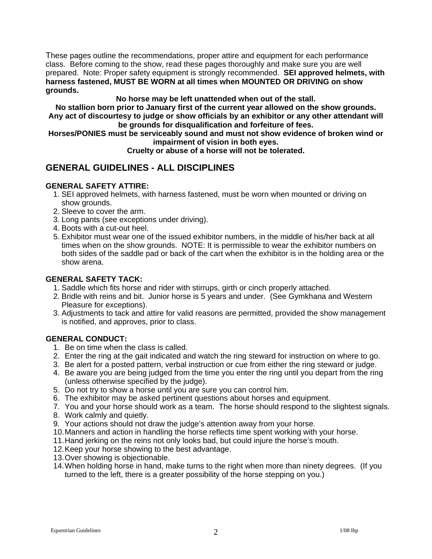These pages outline the recommendations, proper attire and equipment for each performance class. Before coming to the show, read these pages thoroughly and make sure you are well prepared. Note: Proper safety equipment is strongly recommended. **SEI approved helmets, with harness fastened, MUST BE WORN at all times when MOUNTED OR DRIVING on show grounds.**

#### **No horse may be left unattended when out of the stall.**

**No stallion born prior to January first of the current year allowed on the show grounds. Any act of discourtesy to judge or show officials by an exhibitor or any other attendant will be grounds for disqualification and forfeiture of fees.** 

**Horses/PONIES must be serviceably sound and must not show evidence of broken wind or impairment of vision in both eyes.** 

#### **Cruelty or abuse of a horse will not be tolerated.**

# **GENERAL GUIDELINES - ALL DISCIPLINES**

#### **GENERAL SAFETY ATTIRE:**

- 1. SEI approved helmets, with harness fastened, must be worn when mounted or driving on show grounds.
- 2. Sleeve to cover the arm.
- 3. Long pants (see exceptions under driving).
- 4. Boots with a cut-out heel.
- 5. Exhibitor must wear one of the issued exhibitor numbers, in the middle of his/her back at all times when on the show grounds. NOTE: It is permissible to wear the exhibitor numbers on both sides of the saddle pad or back of the cart when the exhibitor is in the holding area or the show arena.

#### **GENERAL SAFETY TACK:**

- 1. Saddle which fits horse and rider with stirrups, girth or cinch properly attached.
- 2. Bridle with reins and bit. Junior horse is 5 years and under. (See Gymkhana and Western Pleasure for exceptions).
- 3. Adjustments to tack and attire for valid reasons are permitted, provided the show management is notified, and approves, prior to class.

# **GENERAL CONDUCT:**

- 1. Be on time when the class is called.
- 2. Enter the ring at the gait indicated and watch the ring steward for instruction on where to go.
- 3. Be alert for a posted pattern, verbal instruction or cue from either the ring steward or judge.
- 4. Be aware you are being judged from the time you enter the ring until you depart from the ring (unless otherwise specified by the judge).
- 5. Do not try to show a horse until you are sure you can control him.
- 6. The exhibitor may be asked pertinent questions about horses and equipment.
- 7. You and your horse should work as a team. The horse should respond to the slightest signals.
- 8. Work calmly and quietly.
- 9. Your actions should not draw the judge's attention away from your horse.
- 10. Manners and action in handling the horse reflects time spent working with your horse.
- 11. Hand jerking on the reins not only looks bad, but could injure the horse's mouth.
- 12. Keep your horse showing to the best advantage.
- 13. Over showing is objectionable.
- 14. When holding horse in hand, make turns to the right when more than ninety degrees. (If you turned to the left, there is a greater possibility of the horse stepping on you.)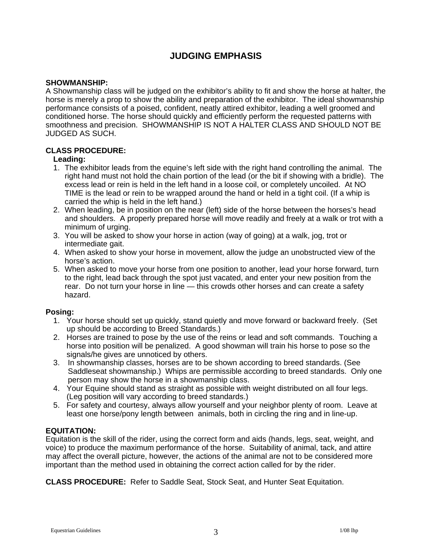# **JUDGING EMPHASIS**

#### **SHOWMANSHIP:**

A Showmanship class will be judged on the exhibitor's ability to fit and show the horse at halter, the horse is merely a prop to show the ability and preparation of the exhibitor. The ideal showmanship performance consists of a poised, confident, neatly attired exhibitor, leading a well groomed and conditioned horse. The horse should quickly and efficiently perform the requested patterns with smoothness and precision. SHOWMANSHIP IS NOT A HALTER CLASS AND SHOULD NOT BE JUDGED AS SUCH.

# **CLASS PROCEDURE:**

#### **Leading:**

- 1. The exhibitor leads from the equine's left side with the right hand controlling the animal. The right hand must not hold the chain portion of the lead (or the bit if showing with a bridle). The excess lead or rein is held in the left hand in a loose coil, or completely uncoiled. At NO TIME is the lead or rein to be wrapped around the hand or held in a tight coil. (If a whip is carried the whip is held in the left hand.)
- 2. When leading, be in position on the near (left) side of the horse between the horses's head and shoulders. A properly prepared horse will move readily and freely at a walk or trot with a minimum of urging.
- 3. You will be asked to show your horse in action (way of going) at a walk, jog, trot or intermediate gait.
- 4. When asked to show your horse in movement, allow the judge an unobstructed view of the horse's action.
- 5. When asked to move your horse from one position to another, lead your horse forward, turn to the right, lead back through the spot just vacated, and enter your new position from the rear. Do not turn your horse in line — this crowds other horses and can create a safety hazard.

# **Posing:**

- 1. Your horse should set up quickly, stand quietly and move forward or backward freely. (Set up should be according to Breed Standards.)
- 2. Horses are trained to pose by the use of the reins or lead and soft commands. Touching a horse into position will be penalized. A good showman will train his horse to pose so the signals/he gives are unnoticed by others.
- 3. In showmanship classes, horses are to be shown according to breed standards. (See Saddleseat showmanship.) Whips are permissible according to breed standards. Only one person may show the horse in a showmanship class.
- 4. Your Equine should stand as straight as possible with weight distributed on all four legs. (Leg position will vary according to breed standards.)
- 5. For safety and courtesy, always allow yourself and your neighbor plenty of room. Leave at least one horse/pony length between animals, both in circling the ring and in line-up.

# **EQUITATION:**

Equitation is the skill of the rider, using the correct form and aids (hands, legs, seat, weight, and voice) to produce the maximum performance of the horse. Suitability of animal, tack, and attire may affect the overall picture, however, the actions of the animal are not to be considered more important than the method used in obtaining the correct action called for by the rider.

**CLASS PROCEDURE:** Refer to Saddle Seat, Stock Seat, and Hunter Seat Equitation.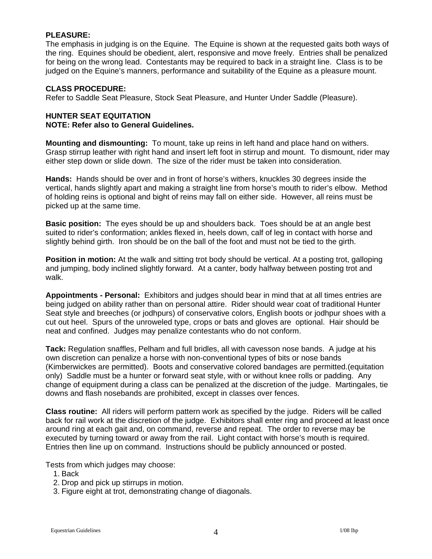#### **PLEASURE:**

The emphasis in judging is on the Equine. The Equine is shown at the requested gaits both ways of the ring. Equines should be obedient, alert, responsive and move freely. Entries shall be penalized for being on the wrong lead. Contestants may be required to back in a straight line. Class is to be judged on the Equine's manners, performance and suitability of the Equine as a pleasure mount.

#### **CLASS PROCEDURE:**

Refer to Saddle Seat Pleasure, Stock Seat Pleasure, and Hunter Under Saddle (Pleasure).

#### **HUNTER SEAT EQUITATION NOTE: Refer also to General Guidelines.**

**Mounting and dismounting:** To mount, take up reins in left hand and place hand on withers. Grasp stirrup leather with right hand and insert left foot in stirrup and mount. To dismount, rider may either step down or slide down. The size of the rider must be taken into consideration.

**Hands:** Hands should be over and in front of horse's withers, knuckles 30 degrees inside the vertical, hands slightly apart and making a straight line from horse's mouth to rider's elbow. Method of holding reins is optional and bight of reins may fall on either side. However, all reins must be picked up at the same time.

**Basic position:** The eyes should be up and shoulders back. Toes should be at an angle best suited to rider's conformation; ankles flexed in, heels down, calf of leg in contact with horse and slightly behind girth. Iron should be on the ball of the foot and must not be tied to the girth.

**Position in motion:** At the walk and sitting trot body should be vertical. At a posting trot, galloping and jumping, body inclined slightly forward. At a canter, body halfway between posting trot and walk.

**Appointments - Personal:** Exhibitors and judges should bear in mind that at all times entries are being judged on ability rather than on personal attire. Rider should wear coat of traditional Hunter Seat style and breeches (or jodhpurs) of conservative colors, English boots or jodhpur shoes with a cut out heel. Spurs of the unroweled type, crops or bats and gloves are optional. Hair should be neat and confined. Judges may penalize contestants who do not conform.

**Tack:** Regulation snaffles, Pelham and full bridles, all with cavesson nose bands. A judge at his own discretion can penalize a horse with non-conventional types of bits or nose bands (Kimberwickes are permitted). Boots and conservative colored bandages are permitted.(equitation only) Saddle must be a hunter or forward seat style, with or without knee rolls or padding. Any change of equipment during a class can be penalized at the discretion of the judge. Martingales, tie downs and flash nosebands are prohibited, except in classes over fences.

**Class routine:** All riders will perform pattern work as specified by the judge. Riders will be called back for rail work at the discretion of the judge. Exhibitors shall enter ring and proceed at least once around ring at each gait and, on command, reverse and repeat. The order to reverse may be executed by turning toward or away from the rail. Light contact with horse's mouth is required. Entries then line up on command. Instructions should be publicly announced or posted.

Tests from which judges may choose:

- 1. Back
- 2. Drop and pick up stirrups in motion.
- 3. Figure eight at trot, demonstrating change of diagonals.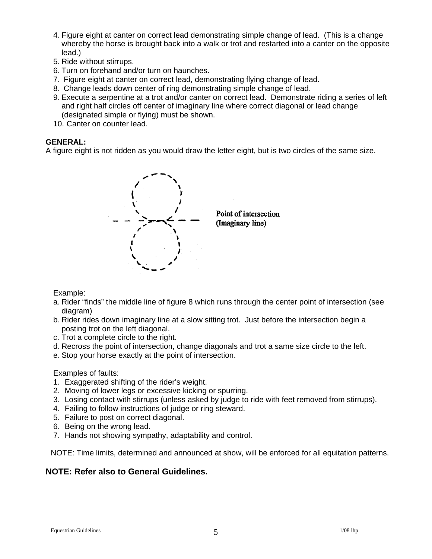- 4. Figure eight at canter on correct lead demonstrating simple change of lead. (This is a change whereby the horse is brought back into a walk or trot and restarted into a canter on the opposite lead.)
- 5. Ride without stirrups.
- 6. Turn on forehand and/or turn on haunches.
- 7. Figure eight at canter on correct lead, demonstrating flying change of lead.
- 8. Change leads down center of ring demonstrating simple change of lead.
- 9. Execute a serpentine at a trot and/or canter on correct lead. Demonstrate riding a series of left and right half circles off center of imaginary line where correct diagonal or lead change (designated simple or flying) must be shown.
- 10. Canter on counter lead.

#### **GENERAL:**

A figure eight is not ridden as you would draw the letter eight, but is two circles of the same size.



Example:

- a. Rider "finds" the middle line of figure 8 which runs through the center point of intersection (see diagram)
- b. Rider rides down imaginary line at a slow sitting trot. Just before the intersection begin a posting trot on the left diagonal.
- c. Trot a complete circle to the right.
- d. Recross the point of intersection, change diagonals and trot a same size circle to the left.
- e. Stop your horse exactly at the point of intersection.

#### Examples of faults:

- 1. Exaggerated shifting of the rider's weight.
- 2. Moving of lower legs or excessive kicking or spurring.
- 3. Losing contact with stirrups (unless asked by judge to ride with feet removed from stirrups).
- 4. Failing to follow instructions of judge or ring steward.
- 5. Failure to post on correct diagonal.
- 6. Being on the wrong lead.
- 7. Hands not showing sympathy, adaptability and control.

NOTE: Time limits, determined and announced at show, will be enforced for all equitation patterns.

# **NOTE: Refer also to General Guidelines.**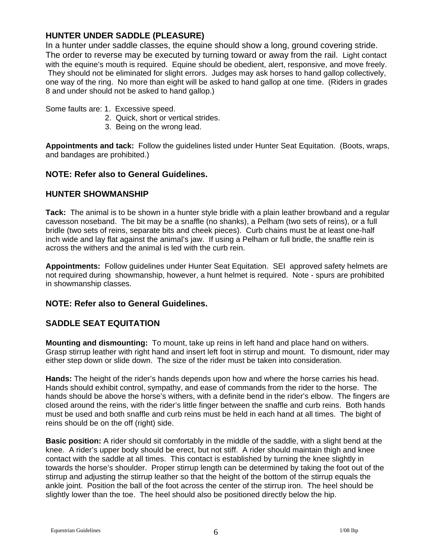# **HUNTER UNDER SADDLE (PLEASURE)**

In a hunter under saddle classes, the equine should show a long, ground covering stride. The order to reverse may be executed by turning toward or away from the rail. Light contact with the equine's mouth is required. Equine should be obedient, alert, responsive, and move freely. They should not be eliminated for slight errors. Judges may ask horses to hand gallop collectively, one way of the ring. No more than eight will be asked to hand gallop at one time. (Riders in grades 8 and under should not be asked to hand gallop.)

Some faults are: 1. Excessive speed.

- 2. Quick, short or vertical strides.
- 3. Being on the wrong lead.

**Appointments and tack:** Follow the guidelines listed under Hunter Seat Equitation. (Boots, wraps, and bandages are prohibited.)

# **NOTE: Refer also to General Guidelines.**

# **HUNTER SHOWMANSHIP**

**Tack:** The animal is to be shown in a hunter style bridle with a plain leather browband and a regular cavesson noseband. The bit may be a snaffle (no shanks), a Pelham (two sets of reins), or a full bridle (two sets of reins, separate bits and cheek pieces). Curb chains must be at least one-half inch wide and lay flat against the animal's jaw. If using a Pelham or full bridle, the snaffle rein is across the withers and the animal is led with the curb rein.

**Appointments:** Follow guidelines under Hunter Seat Equitation. SEI approved safety helmets are not required during showmanship, however, a hunt helmet is required. Note - spurs are prohibited in showmanship classes.

# **NOTE: Refer also to General Guidelines.**

# **SADDLE SEAT EQUITATION**

**Mounting and dismounting:** To mount, take up reins in left hand and place hand on withers. Grasp stirrup leather with right hand and insert left foot in stirrup and mount. To dismount, rider may either step down or slide down. The size of the rider must be taken into consideration.

**Hands:** The height of the rider's hands depends upon how and where the horse carries his head. Hands should exhibit control, sympathy, and ease of commands from the rider to the horse. The hands should be above the horse's withers, with a definite bend in the rider's elbow. The fingers are closed around the reins, with the rider's little finger between the snaffle and curb reins. Both hands must be used and both snaffle and curb reins must be held in each hand at all times. The bight of reins should be on the off (right) side.

**Basic position:** A rider should sit comfortably in the middle of the saddle, with a slight bend at the knee. A rider's upper body should be erect, but not stiff. A rider should maintain thigh and knee contact with the saddle at all times. This contact is established by turning the knee slightly in towards the horse's shoulder. Proper stirrup length can be determined by taking the foot out of the stirrup and adjusting the stirrup leather so that the height of the bottom of the stirrup equals the ankle joint. Position the ball of the foot across the center of the stirrup iron. The heel should be slightly lower than the toe. The heel should also be positioned directly below the hip.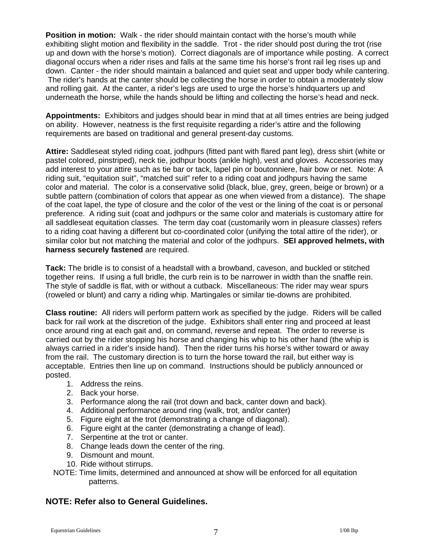**Position in motion:** Walk - the rider should maintain contact with the horse's mouth while exhibiting slight motion and flexibility in the saddle. Trot - the rider should post during the trot (rise up and down with the horse's motion). Correct diagonals are of importance while posting. A correct diagonal occurs when a rider rises and falls at the same time his horse's front rail leg rises up and down. Canter - the rider should maintain a balanced and quiet seat and upper body while cantering. The rider's hands at the canter should be collecting the horse in order to obtain a moderately slow and rolling gait. At the canter, a rider's legs are used to urge the horse's hindquarters up and underneath the horse, while the hands should be lifting and collecting the horse's head and neck.

**Appointments:** Exhibitors and judges should bear in mind that at all times entries are being judged on ability. However, neatness is the first requisite regarding a rider's attire and the following requirements are based on traditional and general present-day customs.

**Attire:** Saddleseat styled riding coat, jodhpurs (fitted pant with flared pant leg), dress shirt (white or pastel colored, pinstriped), neck tie, jodhpur boots (ankle high), vest and gloves. Accessories may add interest to your attire such as tie bar or tack, lapel pin or boutonniere, hair bow or net. Note: A riding suit, "equitation suit", "matched suit" refer to a riding coat and jodhpurs having the same color and material. The color is a conservative solid (black, blue, grey, green, beige or brown) or a subtle pattern (combination of colors that appear as one when viewed from a distance). The shape of the coat lapel, the type of closure and the color of the vest or the lining of the coat is or personal preference. A riding suit (coat and jodhpurs or the same color and materials is customary attire for all saddleseat equitation classes. The term day coat (customarily worn in pleasure classes) refers to a riding coat having a different but co-coordinated color (unifying the total attire of the rider), or similar color but not matching the material and color of the jodhpurs. **SEI approved helmets, with harness securely fastened** are required.

**Tack:** The bridle is to consist of a headstall with a browband, caveson, and buckled or stitched together reins. If using a full bridle, the curb rein is to be narrower in width than the snaffle rein. The style of saddle is flat, with or without a cutback. Miscellaneous: The rider may wear spurs (roweled or blunt) and carry a riding whip. Martingales or similar tie-downs are prohibited.

**Class routine:** All riders will perform pattern work as specified by the judge. Riders will be called back for rail work at the discretion of the judge. Exhibitors shall enter ring and proceed at least once around ring at each gait and, on command, reverse and repeat. The order to reverse is carried out by the rider stopping his horse and changing his whip to his other hand (the whip is always carried in a rider's inside hand). Then the rider turns his horse's wither toward or away from the rail. The customary direction is to turn the horse toward the rail, but either way is acceptable. Entries then line up on command. Instructions should be publicly announced or posted.

- 1. Address the reins.
- 2. Back your horse.
- 3. Performance along the rail (trot down and back, canter down and back).
- 4. Additional performance around ring (walk, trot, and/or canter)
- 5. Figure eight at the trot (demonstrating a change of diagonal).
- 6. Figure eight at the canter (demonstrating a change of lead).
- 7. Serpentine at the trot or canter.
- 8. Change leads down the center of the ring.
- 9. Dismount and mount.
- 10. Ride without stirrups.
- NOTE: Time limits, determined and announced at show will be enforced for all equitation patterns.

# **NOTE: Refer also to General Guidelines.**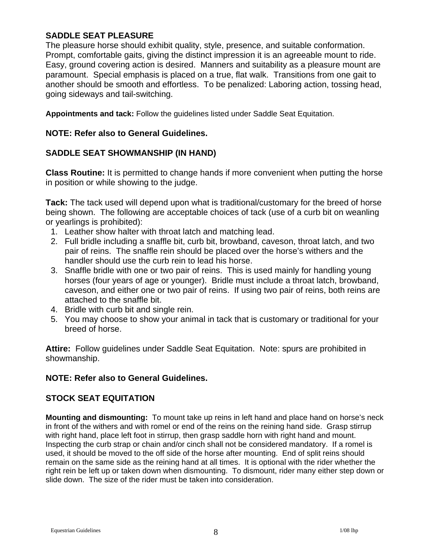# **SADDLE SEAT PLEASURE**

The pleasure horse should exhibit quality, style, presence, and suitable conformation. Prompt, comfortable gaits, giving the distinct impression it is an agreeable mount to ride. Easy, ground covering action is desired. Manners and suitability as a pleasure mount are paramount. Special emphasis is placed on a true, flat walk. Transitions from one gait to another should be smooth and effortless. To be penalized: Laboring action, tossing head, going sideways and tail-switching.

**Appointments and tack:** Follow the guidelines listed under Saddle Seat Equitation.

# **NOTE: Refer also to General Guidelines.**

# **SADDLE SEAT SHOWMANSHIP (IN HAND)**

**Class Routine:** It is permitted to change hands if more convenient when putting the horse in position or while showing to the judge.

**Tack:** The tack used will depend upon what is traditional/customary for the breed of horse being shown. The following are acceptable choices of tack (use of a curb bit on weanling or yearlings is prohibited):

- 1. Leather show halter with throat latch and matching lead.
- 2. Full bridle including a snaffle bit, curb bit, browband, caveson, throat latch, and two pair of reins. The snaffle rein should be placed over the horse's withers and the handler should use the curb rein to lead his horse.
- 3. Snaffle bridle with one or two pair of reins. This is used mainly for handling young horses (four years of age or younger). Bridle must include a throat latch, browband, caveson, and either one or two pair of reins. If using two pair of reins, both reins are attached to the snaffle bit.
- 4. Bridle with curb bit and single rein.
- 5. You may choose to show your animal in tack that is customary or traditional for your breed of horse.

**Attire:** Follow guidelines under Saddle Seat Equitation. Note: spurs are prohibited in showmanship.

# **NOTE: Refer also to General Guidelines.**

# **STOCK SEAT EQUITATION**

**Mounting and dismounting:** To mount take up reins in left hand and place hand on horse's neck in front of the withers and with romel or end of the reins on the reining hand side. Grasp stirrup with right hand, place left foot in stirrup, then grasp saddle horn with right hand and mount. Inspecting the curb strap or chain and/or cinch shall not be considered mandatory. If a romel is used, it should be moved to the off side of the horse after mounting. End of split reins should remain on the same side as the reining hand at all times. It is optional with the rider whether the right rein be left up or taken down when dismounting. To dismount, rider many either step down or slide down. The size of the rider must be taken into consideration.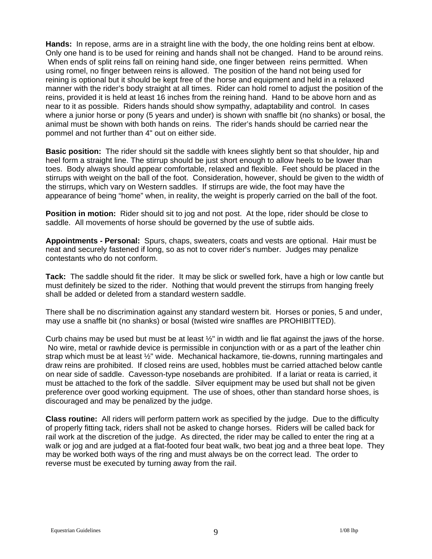**Hands:** In repose, arms are in a straight line with the body, the one holding reins bent at elbow. Only one hand is to be used for reining and hands shall not be changed. Hand to be around reins. When ends of split reins fall on reining hand side, one finger between reins permitted. When using romel, no finger between reins is allowed. The position of the hand not being used for reining is optional but it should be kept free of the horse and equipment and held in a relaxed manner with the rider's body straight at all times. Rider can hold romel to adjust the position of the reins, provided it is held at least 16 inches from the reining hand. Hand to be above horn and as near to it as possible. Riders hands should show sympathy, adaptability and control. In cases where a junior horse or pony (5 years and under) is shown with snaffle bit (no shanks) or bosal, the animal must be shown with both hands on reins. The rider's hands should be carried near the pommel and not further than 4" out on either side.

**Basic position:** The rider should sit the saddle with knees slightly bent so that shoulder, hip and heel form a straight line. The stirrup should be just short enough to allow heels to be lower than toes. Body always should appear comfortable, relaxed and flexible. Feet should be placed in the stirrups with weight on the ball of the foot. Consideration, however, should be given to the width of the stirrups, which vary on Western saddles. If stirrups are wide, the foot may have the appearance of being "home" when, in reality, the weight is properly carried on the ball of the foot.

**Position in motion:** Rider should sit to jog and not post. At the lope, rider should be close to saddle. All movements of horse should be governed by the use of subtle aids.

**Appointments - Personal:** Spurs, chaps, sweaters, coats and vests are optional. Hair must be neat and securely fastened if long, so as not to cover rider's number. Judges may penalize contestants who do not conform.

**Tack:** The saddle should fit the rider. It may be slick or swelled fork, have a high or low cantle but must definitely be sized to the rider. Nothing that would prevent the stirrups from hanging freely shall be added or deleted from a standard western saddle.

There shall be no discrimination against any standard western bit. Horses or ponies, 5 and under, may use a snaffle bit (no shanks) or bosal (twisted wire snaffles are PROHIBITTED).

Curb chains may be used but must be at least  $\frac{1}{2}$ " in width and lie flat against the jaws of the horse. No wire, metal or rawhide device is permissible in conjunction with or as a part of the leather chin strap which must be at least ½" wide. Mechanical hackamore, tie-downs, running martingales and draw reins are prohibited. If closed reins are used, hobbles must be carried attached below cantle on near side of saddle. Cavesson-type nosebands are prohibited. If a lariat or reata is carried, it must be attached to the fork of the saddle. Silver equipment may be used but shall not be given preference over good working equipment. The use of shoes, other than standard horse shoes, is discouraged and may be penalized by the judge.

**Class routine:** All riders will perform pattern work as specified by the judge. Due to the difficulty of properly fitting tack, riders shall not be asked to change horses. Riders will be called back for rail work at the discretion of the judge. As directed, the rider may be called to enter the ring at a walk or jog and are judged at a flat-footed four beat walk, two beat jog and a three beat lope. They may be worked both ways of the ring and must always be on the correct lead. The order to reverse must be executed by turning away from the rail.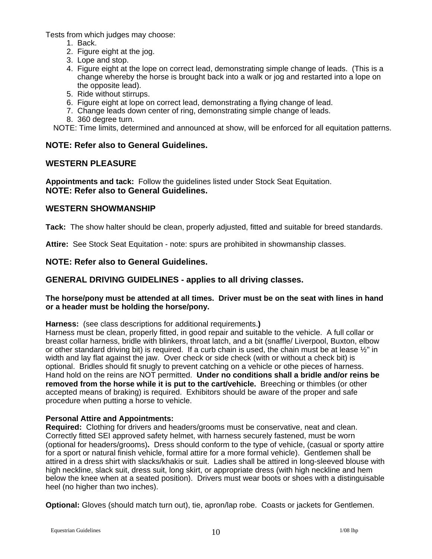Tests from which judges may choose:

- 1. Back.
- 2. Figure eight at the jog.
- 3. Lope and stop.
- 4. Figure eight at the lope on correct lead, demonstrating simple change of leads. (This is a change whereby the horse is brought back into a walk or jog and restarted into a lope on the opposite lead).
- 5. Ride without stirrups.
- 6. Figure eight at lope on correct lead, demonstrating a flying change of lead.
- 7. Change leads down center of ring, demonstrating simple change of leads.
- 8. 360 degree turn.

NOTE: Time limits, determined and announced at show, will be enforced for all equitation patterns.

# **NOTE: Refer also to General Guidelines.**

# **WESTERN PLEASURE**

**Appointments and tack:** Follow the guidelines listed under Stock Seat Equitation. **NOTE: Refer also to General Guidelines.** 

# **WESTERN SHOWMANSHIP**

**Tack:** The show halter should be clean, properly adjusted, fitted and suitable for breed standards.

**Attire:** See Stock Seat Equitation - note: spurs are prohibited in showmanship classes.

**NOTE: Refer also to General Guidelines.** 

# **GENERAL DRIVING GUIDELINES - applies to all driving classes.**

#### **The horse/pony must be attended at all times. Driver must be on the seat with lines in hand or a header must be holding the horse/pony.**

**Harness:** (see class descriptions for additional requirements.**)** 

Harness must be clean, properly fitted, in good repair and suitable to the vehicle. A full collar or breast collar harness, bridle with blinkers, throat latch, and a bit (snaffle/ Liverpool, Buxton, elbow or other standard driving bit) is required. If a curb chain is used, the chain must be at lease ½" in width and lay flat against the jaw. Over check or side check (with or without a check bit) is optional. Bridles should fit snugly to prevent catching on a vehicle or othe pieces of harness. Hand hold on the reins are NOT permitted. **Under no conditions shall a bridle and/or reins be removed from the horse while it is put to the cart/vehicle.** Breeching or thimbles (or other accepted means of braking) is required. Exhibitors should be aware of the proper and safe procedure when putting a horse to vehicle.

# **Personal Attire and Appointments:**

**Required:** Clothing for drivers and headers/grooms must be conservative, neat and clean. Correctly fitted SEI approved safety helmet, with harness securely fastened, must be worn (optional for headers/grooms)**.** Dress should conform to the type of vehicle, (casual or sporty attire for a sport or natural finish vehicle, formal attire for a more formal vehicle). Gentlemen shall be attired in a dress shirt with slacks/khakis or suit. Ladies shall be attired in long-sleeved blouse with high neckline, slack suit, dress suit, long skirt, or appropriate dress (with high neckline and hem below the knee when at a seated position). Drivers must wear boots or shoes with a distinguisable heel (no higher than two inches).

**Optional:** Gloves (should match turn out), tie, apron/lap robe. Coasts or jackets for Gentlemen.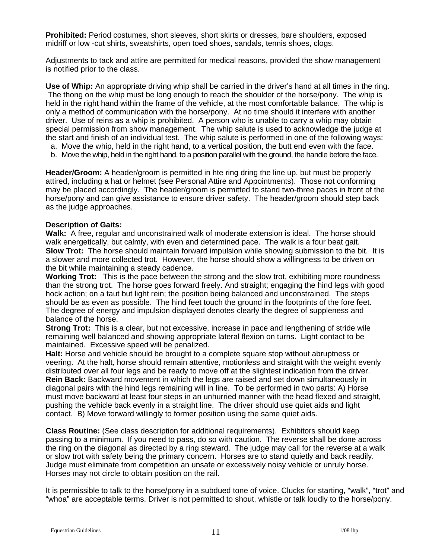**Prohibited:** Period costumes, short sleeves, short skirts or dresses, bare shoulders, exposed midriff or low -cut shirts, sweatshirts, open toed shoes, sandals, tennis shoes, clogs.

Adjustments to tack and attire are permitted for medical reasons, provided the show management is notified prior to the class.

**Use of Whip:** An appropriate driving whip shall be carried in the driver's hand at all times in the ring. The thong on the whip must be long enough to reach the shoulder of the horse/pony. The whip is held in the right hand within the frame of the vehicle, at the most comfortable balance. The whip is only a method of communication with **t**he horse/pony. At no time should it interfere with another driver. Use of reins as a whip is prohibited. A person who is unable to carry a whip may obtain special permission from show management. The whip salute is used to acknowledge the judge at the start and finish of an individual test. The whip salute is performed in one of the following ways:

- a. Move the whip, held in the right hand, to a vertical position, the butt end even with the face.
- b. Move the whip, held in the right hand, to a position parallel with the ground, the handle before the face.

**Header/Groom:** A header/groom is permitted in hte ring dring the line up, but must be properly attired, including a hat or helmet (see Personal Attire and Appointments). Those not conforming may be placed accordingly. The header/groom is permitted to stand two-three paces in front of the horse/pony and can give assistance to ensure driver safety. The header/groom should step back as the judge approaches.

#### **Description of Gaits:**

**Walk:** A free, regular and unconstrained walk of moderate extension is ideal. The horse should walk energetically, but calmly, with even and determined pace. The walk is a four beat gait. **Slow Trot:** The horse should maintain forward impulsion while showing submission to the bit. It is a slower and more collected trot. However, the horse should show a willingness to be driven on the bit while maintaining a steady cadence.

**Working Trot:** This is the pace between the strong and the slow trot, exhibiting more roundness than the strong trot. The horse goes forward freely. And straight; engaging the hind legs with good hock action; on a taut but light rein; the position being balanced and unconstrained. The steps should be as even as possible. The hind feet touch the ground in the footprints of the fore feet. The degree of energy and impulsion displayed denotes clearly the degree of suppleness and balance of the horse.

**Strong Trot:** This is a clear, but not excessive, increase in pace and lengthening of stride wile remaining well balanced and showing appropriate lateral flexion on turns. Light contact to be maintained. Excessive speed will be penalized.

**Halt:** Horse and vehicle should be brought to a complete square stop without abruptness or veering. At the halt, horse should remain attentive, motionless and straight with the weight evenly distributed over all four legs and be ready to move off at the slightest indication from the driver. **Rein Back:** Backward movement in which the legs are raised and set down simultaneously in diagonal pairs with the hind legs remaining will in line. To be performed in two parts: A) Horse must move backward at least four steps in an unhurried manner with the head flexed and straight, pushing the vehicle back evenly in a straight line. The driver should use quiet aids and light contact. B) Move forward willingly to former position using the same quiet aids.

**Class Routine:** (See class description for additional requirements). Exhibitors should keep passing to a minimum. If you need to pass, do so with caution. The reverse shall be done across the ring on the diagonal as directed by a ring steward. The judge may call for the reverse at a walk or slow trot with safety being the primary concern. Horses are to stand quietly and back readily. Judge must eliminate from competition an unsafe or excessively noisy vehicle or unruly horse. Horses may not circle to obtain position on the rail.

It is permissible to talk to the horse/pony in a subdued tone of voice. Clucks for starting, "walk", "trot" and "whoa" are acceptable terms. Driver is not permitted to shout, whistle or talk loudly to the horse/pony.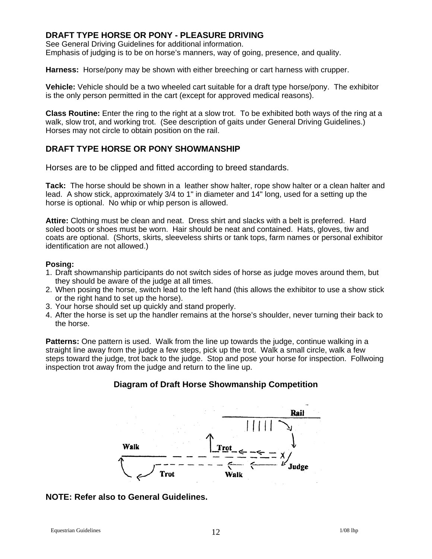# **DRAFT TYPE HORSE OR PONY - PLEASURE DRIVING**

See General Driving Guidelines for additional information. Emphasis of judging is to be on horse's manners, way of going, presence, and quality.

**Harness:** Horse/pony may be shown with either breeching or cart harness with crupper.

**Vehicle:** Vehicle should be a two wheeled cart suitable for a draft type horse/pony. The exhibitor is the only person permitted in the cart (except for approved medical reasons).

**Class Routine:** Enter the ring to the right at a slow trot. To be exhibited both ways of the ring at a walk, slow trot, and working trot. (See description of gaits under General Driving Guidelines.) Horses may not circle to obtain position on the rail.

# **DRAFT TYPE HORSE OR PONY SHOWMANSHIP**

Horses are to be clipped and fitted according to breed standards.

**Tack:** The horse should be shown in a leather show halter, rope show halter or a clean halter and lead. A show stick, approximately 3/4 to 1" in diameter and 14" long, used for a setting up the horse is optional. No whip or whip person is allowed.

**Attire:** Clothing must be clean and neat. Dress shirt and slacks with a belt is preferred. Hard soled boots or shoes must be worn. Hair should be neat and contained. Hats, gloves, tiw and coats are optional. (Shorts, skirts, sleeveless shirts or tank tops, farm names or personal exhibitor identification are not allowed.)

#### **Posing:**

- 1. Draft showmanship participants do not switch sides of horse as judge moves around them, but they should be aware of the judge at all times.
- 2. When posing the horse, switch lead to the left hand (this allows the exhibitor to use a show stick or the right hand to set up the horse).
- 3. Your horse should set up quickly and stand properly.
- 4. After the horse is set up the handler remains at the horse's shoulder, never turning their back to the horse.

**Patterns:** One pattern is used. Walk from the line up towards the judge, continue walking in a straight line away from the judge a few steps, pick up the trot. Walk a small circle, walk a few steps toward the judge, trot back to the judge. Stop and pose your horse for inspection. Follwoing inspection trot away from the judge and return to the line up.

# **Diagram of Draft Horse Showmanship Competition**



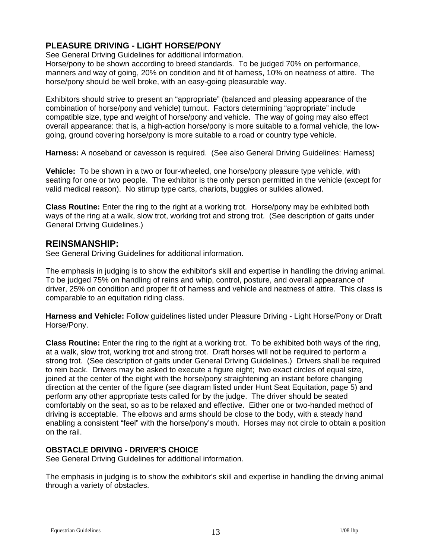# **PLEASURE DRIVING - LIGHT HORSE/PONY**

See General Driving Guidelines for additional information.

Horse/pony to be shown according to breed standards. To be judged 70% on performance, manners and way of going, 20% on condition and fit of harness, 10% on neatness of attire. The horse/pony should be well broke, with an easy-going pleasurable way.

Exhibitors should strive to present an "appropriate" (balanced and pleasing appearance of the combination of horse/pony and vehicle) turnout. Factors determining "appropriate" include compatible size, type and weight of horse/pony and vehicle. The way of going may also effect overall appearance: that is, a high-action horse/pony is more suitable to a formal vehicle, the lowgoing, ground covering horse/pony is more suitable to a road or country type vehicle.

**Harness:** A noseband or cavesson is required. (See also General Driving Guidelines: Harness)

**Vehicle:** To be shown in a two or four-wheeled, one horse/pony pleasure type vehicle, with seating for one or two people. The exhibitor is the only person permitted in the vehicle (except for valid medical reason). No stirrup type carts, chariots, buggies or sulkies allowed.

**Class Routine:** Enter the ring to the right at a working trot. Horse/pony may be exhibited both ways of the ring at a walk, slow trot, working trot and strong trot. (See description of gaits under General Driving Guidelines.)

# **REINSMANSHIP:**

See General Driving Guidelines for additional information.

The emphasis in judging is to show the exhibitor's skill and expertise in handling the driving animal. To be judged 75% on handling of reins and whip, control, posture, and overall appearance of driver, 25% on condition and proper fit of harness and vehicle and neatness of attire. This class is comparable to an equitation riding class.

**Harness and Vehicle:** Follow guidelines listed under Pleasure Driving - Light Horse/Pony or Draft Horse/Pony.

**Class Routine:** Enter the ring to the right at a working trot. To be exhibited both ways of the ring, at a walk, slow trot, working trot and strong trot. Draft horses will not be required to perform a strong trot. (See description of gaits under General Driving Guidelines.) Drivers shall be required to rein back. Drivers may be asked to execute a figure eight; two exact circles of equal size, joined at the center of the eight with the horse/pony straightening an instant before changing direction at the center of the figure (see diagram listed under Hunt Seat Equitation, page 5) and perform any other appropriate tests called for by the judge. The driver should be seated comfortably on the seat, so as to be relaxed and effective. Either one or two-handed method of driving is acceptable. The elbows and arms should be close to the body, with a steady hand enabling a consistent "feel" with the horse/pony's mouth. Horses may not circle to obtain a position on the rail.

# **OBSTACLE DRIVING - DRIVER'S CHOICE**

See General Driving Guidelines for additional information.

The emphasis in judging is to show the exhibitor's skill and expertise in handling the driving animal through a variety of obstacles.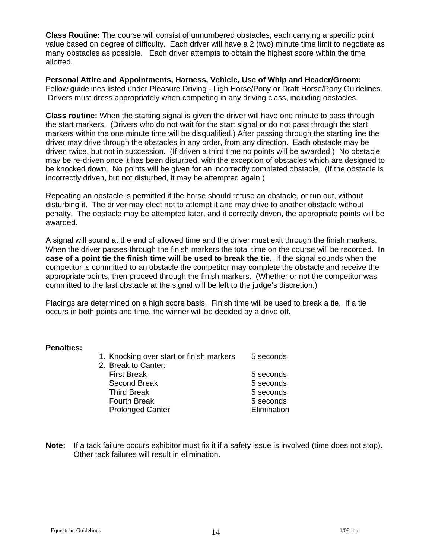**Class Routine:** The course will consist of unnumbered obstacles, each carrying a specific point value based on degree of difficulty.Each driver will have a 2 (two) minute time limit to negotiate as many obstacles as possible. Each driver attempts to obtain the highest score within the time allotted.

**Personal Attire and Appointments, Harness, Vehicle, Use of Whip and Header/Groom:**  Follow guidelines listed under Pleasure Driving - Ligh Horse/Pony or Draft Horse/Pony Guidelines. Drivers must dress appropriately when competing in any driving class, including obstacles.

**Class routine:** When the starting signal is given the driver will have one minute to pass through the start markers. (Drivers who do not wait for the start signal or do not pass through the start markers within the one minute time will be disqualified.) After passing through the starting line the driver may drive through the obstacles in any order, from any direction. Each obstacle may be driven twice, but not in succession. (If driven a third time no points will be awarded.) No obstacle may be re-driven once it has been disturbed, with the exception of obstacles which are designed to be knocked down. No points will be given for an incorrectly completed obstacle. (If the obstacle is incorrectly driven, but not disturbed, it may be attempted again.)

Repeating an obstacle is permitted if the horse should refuse an obstacle, or run out, without disturbing it. The driver may elect not to attempt it and may drive to another obstacle without penalty. The obstacle may be attempted later, and if correctly driven, the appropriate points will be awarded.

A signal will sound at the end of allowed time and the driver must exit through the finish markers. When the driver passes through the finish markers the total time on the course will be recorded. **In case of a point tie the finish time will be used to break the tie.** If the signal sounds when the competitor is committed to an obstacle the competitor may complete the obstacle and receive the appropriate points, then proceed through the finish markers. (Whether or not the competitor was committed to the last obstacle at the signal will be left to the judge's discretion.)

Placings are determined on a high score basis. Finish time will be used to break a tie. If a tie occurs in both points and time, the winner will be decided by a drive off.

#### **Penalties:**

| 1. Knocking over start or finish markers<br>2. Break to Canter: | 5 seconds   |
|-----------------------------------------------------------------|-------------|
| <b>First Break</b>                                              | 5 seconds   |
| Second Break                                                    | 5 seconds   |
| <b>Third Break</b>                                              | 5 seconds   |
| <b>Fourth Break</b>                                             | 5 seconds   |
| <b>Prolonged Canter</b>                                         | Elimination |
|                                                                 |             |

**Note:** If a tack failure occurs exhibitor must fix it if a safety issue is involved (time does not stop). Other tack failures will result in elimination.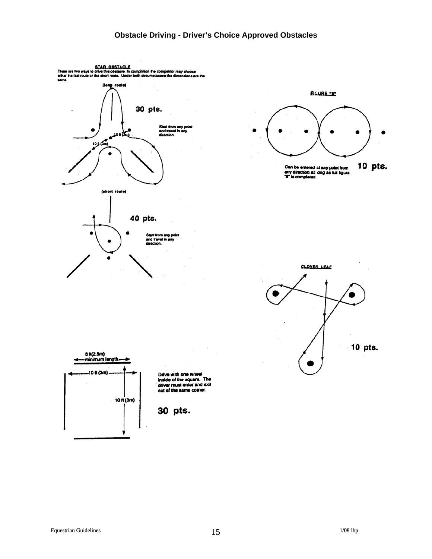# **Obstacle Driving - Driver's Choice Approved Obstacles**

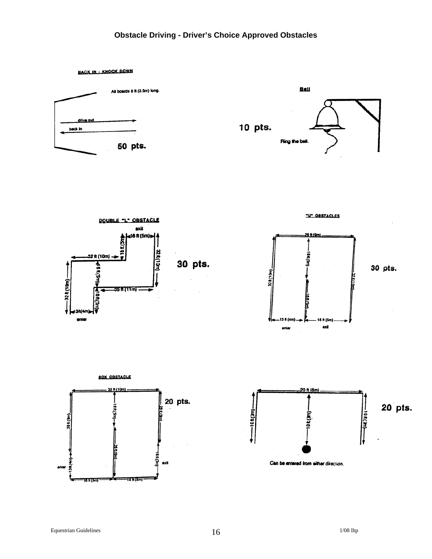# **Obstacle Driving - Driver's Choice Approved Obstacles**









"U" OBSTACLES





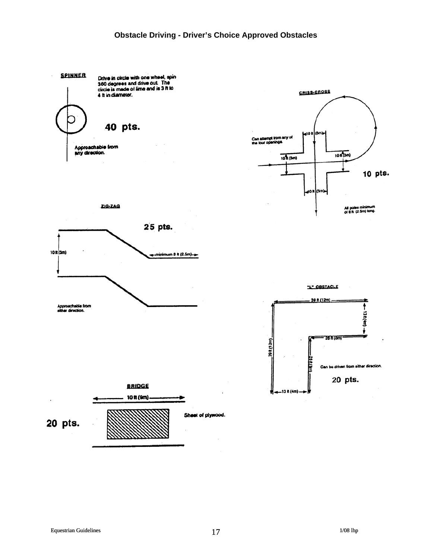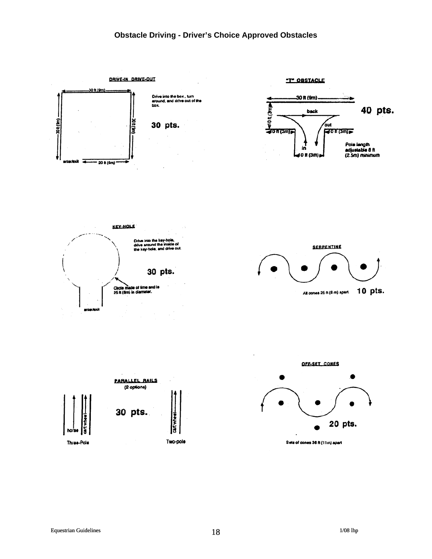# **Obstacle Driving - Driver's Choice Approved Obstacles**

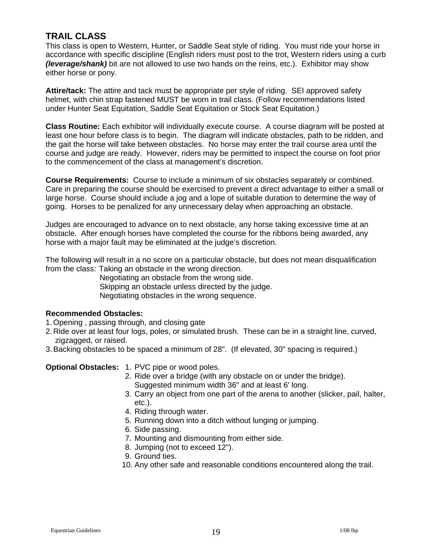# **TRAIL CLASS**

This class is open to Western, Hunter, or Saddle Seat style of riding. You must ride your horse in accordance with specific discipline (English riders must post to the trot, Western riders using a curb *(leverage/shank)* bit are not allowed to use two hands on the reins, etc.). Exhibitor may show either horse or pony.

**Attire/tack:** The attire and tack must be appropriate per style of riding. SEI approved safety helmet, with chin strap fastened MUST be worn in trail class. (Follow recommendations listed under Hunter Seat Equitation, Saddle Seat Equitation or Stock Seat Equitation.)

**Class Routine:** Each exhibitor will individually execute course. A course diagram will be posted at least one hour before class is to begin. The diagram will indicate obstacles, path to be ridden, and the gait the horse will take between obstacles. No horse may enter the trail course area until the course and judge are ready. However, riders may be permitted to inspect the course on foot prior to the commencement of the class at management's discretion.

**Course Requirements:** Course to include a minimum of six obstacles separately or combined. Care in preparing the course should be exercised to prevent a direct advantage to either a small or large horse. Course should include a jog and a lope of suitable duration to determine the way of going. Horses to be penalized for any unnecessary delay when approaching an obstacle.

Judges are encouraged to advance on to next obstacle, any horse taking excessive time at an obstacle. After enough horses have completed the course for the ribbons being awarded, any horse with a major fault may be eliminated at the judge's discretion.

The following will result in a no score on a particular obstacle, but does not mean disqualification from the class: Taking an obstacle in the wrong direction.

> Negotiating an obstacle from the wrong side. Skipping an obstacle unless directed by the judge. Negotiating obstacles in the wrong sequence.

# **Recommended Obstacles:**

- 1. Opening , passing through, and closing gate
- 2. Ride over at least four logs, poles, or simulated brush. These can be in a straight line, curved, zigzagged, or raised.
- 3. Backing obstacles to be spaced a minimum of 28". (If elevated, 30" spacing is required.)

# **Optional Obstacles:** 1. PVC pipe or wood poles.

- 2. Ride over a bridge (with any obstacle on or under the bridge). Suggested minimum width 36" and at least 6' long.
- 3. Carry an object from one part of the arena to another (slicker, pail, halter, etc.).
- 4. Riding through water.
- 5. Running down into a ditch without lunging or jumping.
- 6. Side passing.
- 7. Mounting and dismounting from either side.
- 8. Jumping (not to exceed 12").
- 9. Ground ties.
- 10. Any other safe and reasonable conditions encountered along the trail.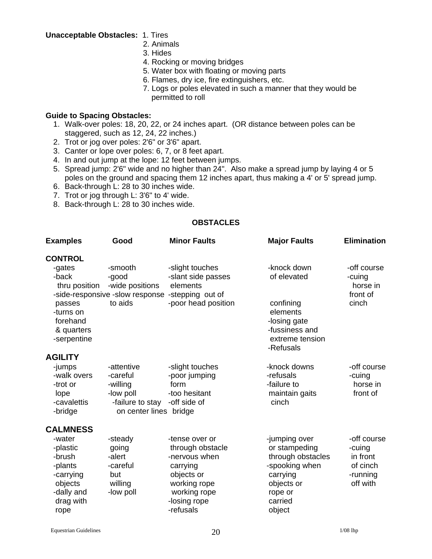**Unacceptable Obstacles:** 1. Tires

- 2. Animals
- 3. Hides
- 4. Rocking or moving bridges
- 5. Water box with floating or moving parts
- 6. Flames, dry ice, fire extinguishers, etc.
- 7. Logs or poles elevated in such a manner that they would be permitted to roll

#### **Guide to Spacing Obstacles:**

- 1. Walk-over poles: 18, 20, 22, or 24 inches apart. (OR distance between poles can be staggered, such as 12, 24, 22 inches.)
- 2. Trot or jog over poles: 2'6" or 3'6" apart.
- 3. Canter or lope over poles: 6, 7, or 8 feet apart.
- 4. In and out jump at the lope: 12 feet between jumps.
- 5. Spread jump: 2'6" wide and no higher than 24". Also make a spread jump by laying 4 or 5 poles on the ground and spacing them 12 inches apart, thus making a 4' or 5' spread jump.
- 6. Back-through L: 28 to 30 inches wide.
- 7. Trot or jog through L: 3'6" to 4' wide.
- 8. Back-through L: 28 to 30 inches wide.

# **OBSTACLES**

| <b>Examples</b>                                                                                    | Good                                                                                          | <b>Minor Faults</b>                                                                                                                        | <b>Major Faults</b>                                                                                                             | <b>Elimination</b>                                                    |
|----------------------------------------------------------------------------------------------------|-----------------------------------------------------------------------------------------------|--------------------------------------------------------------------------------------------------------------------------------------------|---------------------------------------------------------------------------------------------------------------------------------|-----------------------------------------------------------------------|
| <b>CONTROL</b>                                                                                     |                                                                                               |                                                                                                                                            |                                                                                                                                 |                                                                       |
| -gates<br>-back<br>thru position<br>passes<br>-turns on<br>forehand<br>& quarters                  | -smooth<br>-good<br>-wide positions<br>to aids                                                | -slight touches<br>-slant side passes<br>elements<br>-side-responsive -slow response -stepping out of<br>-poor head position               | -knock down<br>of elevated<br>confining<br>elements<br>-losing gate<br>-fussiness and                                           | -off course<br>-cuing<br>horse in<br>front of<br>cinch                |
| -serpentine                                                                                        |                                                                                               |                                                                                                                                            | extreme tension<br>-Refusals                                                                                                    |                                                                       |
| <b>AGILITY</b>                                                                                     |                                                                                               |                                                                                                                                            |                                                                                                                                 |                                                                       |
| -jumps<br>-walk overs<br>-trot or<br>lope<br>-cavalettis<br>-bridge                                | -attentive<br>-careful<br>-willing<br>-low poll<br>-failure to stay<br>on center lines bridge | -slight touches<br>-poor jumping<br>form<br>-too hesitant<br>-off side of                                                                  | -knock downs<br>-refusals<br>-failure to<br>maintain gaits<br>cinch                                                             | -off course<br>-cuing<br>horse in<br>front of                         |
| <b>CALMNESS</b>                                                                                    |                                                                                               |                                                                                                                                            |                                                                                                                                 |                                                                       |
| -water<br>-plastic<br>-brush<br>-plants<br>-carrying<br>objects<br>-dally and<br>drag with<br>rope | -steady<br>going<br>-alert<br>-careful<br>but<br>willing<br>-low poll                         | -tense over or<br>through obstacle<br>-nervous when<br>carrying<br>objects or<br>working rope<br>working rope<br>-losing rope<br>-refusals | -jumping over<br>or stampeding<br>through obstacles<br>-spooking when<br>carrying<br>objects or<br>rope or<br>carried<br>object | -off course<br>-cuing<br>in front<br>of cinch<br>-running<br>off with |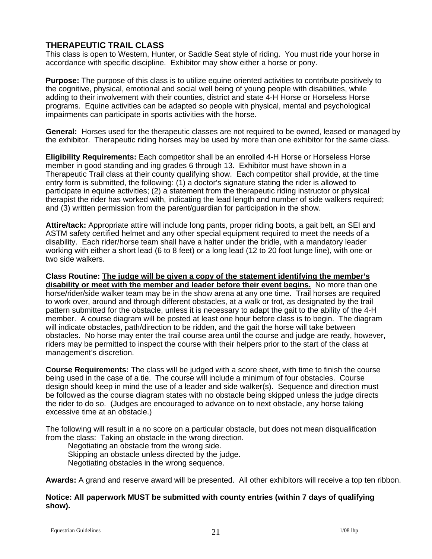# **THERAPEUTIC TRAIL CLASS**

This class is open to Western, Hunter, or Saddle Seat style of riding. You must ride your horse in accordance with specific discipline. Exhibitor may show either a horse or pony.

**Purpose:** The purpose of this class is to utilize equine oriented activities to contribute positively to the cognitive, physical, emotional and social well being of young people with disabilities, while adding to their involvement with their counties, district and state 4-H Horse or Horseless Horse programs. Equine activities can be adapted so people with physical, mental and psychological impairments can participate in sports activities with the horse.

**General:** Horses used for the therapeutic classes are not required to be owned, leased or managed by the exhibitor. Therapeutic riding horses may be used by more than one exhibitor for the same class.

**Eligibility Requirements:** Each competitor shall be an enrolled 4-H Horse or Horseless Horse member in good standing and ing grades 6 through 13. Exhibitor must have shown in a Therapeutic Trail class at their county qualifying show. Each competitor shall provide, at the time entry form is submitted, the following: (1) a doctor's signature stating the rider is allowed to participate in equine activities; (2) a statement from the therapeutic riding instructor or physical therapist the rider has worked with, indicating the lead length and number of side walkers required; and (3) written permission from the parent/guardian for participation in the show.

**Attire/tack:** Appropriate attire will include long pants, proper riding boots, a gait belt, an SEI and ASTM safety certified helmet and any other special equipment required to meet the needs of a disability. Each rider/horse team shall have a halter under the bridle, with a mandatory leader working with either a short lead (6 to 8 feet) or a long lead (12 to 20 foot lunge line), with one or two side walkers.

**Class Routine: The judge will be given a copy of the statement identifying the member's disability or meet with the member and leader before their event begins.** No more than one horse/rider/side walker team may be in the show arena at any one time. Trail horses are required to work over, around and through different obstacles, at a walk or trot, as designated by the trail pattern submitted for the obstacle, unless it is necessary to adapt the gait to the ability of the 4-H member. A course diagram will be posted at least one hour before class is to begin. The diagram will indicate obstacles, path/direction to be ridden, and the gait the horse will take between obstacles. No horse may enter the trail course area until the course and judge are ready, however, riders may be permitted to inspect the course with their helpers prior to the start of the class at management's discretion.

**Course Requirements:** The class will be judged with a score sheet, with time to finish the course being used in the case of a tie. The course will include a minimum of four obstacles. Course design should keep in mind the use of a leader and side walker(s). Sequence and direction must be followed as the course diagram states with no obstacle being skipped unless the judge directs the rider to do so. (Judges are encouraged to advance on to next obstacle, any horse taking excessive time at an obstacle.)

The following will result in a no score on a particular obstacle, but does not mean disqualification from the class: Taking an obstacle in the wrong direction.

 Negotiating an obstacle from the wrong side. Skipping an obstacle unless directed by the judge. Negotiating obstacles in the wrong sequence.

**Awards:** A grand and reserve award will be presented. All other exhibitors will receive a top ten ribbon.

#### **Notice: All paperwork MUST be submitted with county entries (within 7 days of qualifying show).**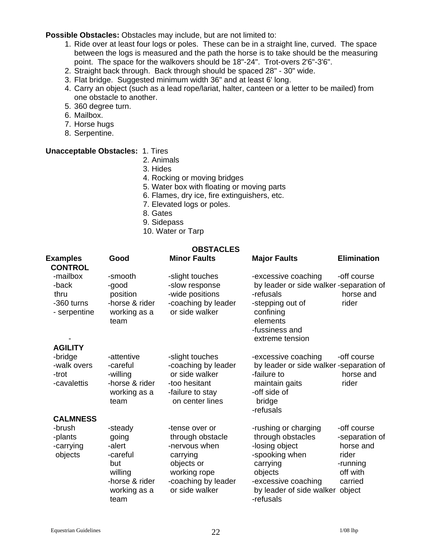**Possible Obstacles:** Obstacles may include, but are not limited to:

- 1. Ride over at least four logs or poles. These can be in a straight line, curved. The space between the logs is measured and the path the horse is to take should be the measuring point. The space for the walkovers should be 18"-24". Trot-overs 2'6"-3'6".
- 2. Straight back through. Back through should be spaced 28" 30" wide.
- 3. Flat bridge. Suggested minimum width 36" and at least 6' long.
- 4. Carry an object (such as a lead rope/lariat, halter, canteen or a letter to be mailed) from one obstacle to another.
- 5. 360 degree turn.
- 6. Mailbox.
- 7. Horse hugs
- 8. Serpentine.

#### **Unacceptable Obstacles:** 1. Tires

- 2. Animals
- 3. Hides
- 4. Rocking or moving bridges
- 5. Water box with floating or moving parts
- 6. Flames, dry ice, fire extinguishers, etc.
- 7. Elevated logs or poles.
- 8. Gates
- 9. Sidepass
- 10. Water or Tarp

# **OBSTACLES**

| <b>Examples</b><br><b>CONTROL</b>                       | Good                                                                                    | <b>Minor Faults</b>                                                                                                  | <b>Major Faults</b>                                                                                                                                          | <b>Elimination</b>                                                      |
|---------------------------------------------------------|-----------------------------------------------------------------------------------------|----------------------------------------------------------------------------------------------------------------------|--------------------------------------------------------------------------------------------------------------------------------------------------------------|-------------------------------------------------------------------------|
| -mailbox<br>-back<br>thru<br>-360 turns<br>- serpentine | -smooth<br>-good<br>position<br>-horse & rider<br>working as a<br>team                  | -slight touches<br>-slow response<br>-wide positions<br>-coaching by leader<br>or side walker                        | -excessive coaching<br>by leader or side walker-separation of<br>-refusals<br>-stepping out of<br>confining<br>elements<br>-fussiness and<br>extreme tension | -off course<br>horse and<br>rider                                       |
| <b>AGILITY</b><br>-bridge                               | -attentive                                                                              | -slight touches                                                                                                      | -excessive coaching                                                                                                                                          | -off course                                                             |
| -walk overs<br>-trot<br>-cavalettis                     | -careful<br>-willing<br>-horse & rider<br>working as a<br>team                          | -coaching by leader<br>or side walker<br>-too hesitant<br>-failure to stay<br>on center lines                        | by leader or side walker-separation of<br>-failure to<br>maintain gaits<br>-off side of<br>bridge<br>-refusals                                               | horse and<br>rider                                                      |
| <b>CALMNESS</b><br>-brush                               | -steady                                                                                 | -tense over or                                                                                                       | -rushing or charging                                                                                                                                         | -off course                                                             |
| -plants<br>-carrying<br>objects                         | going<br>-alert<br>-careful<br>but<br>willing<br>-horse & rider<br>working as a<br>team | through obstacle<br>-nervous when<br>carrying<br>objects or<br>working rope<br>-coaching by leader<br>or side walker | through obstacles<br>-losing object<br>-spooking when<br>carrying<br>objects<br>-excessive coaching<br>by leader of side walker object<br>-refusals          | -separation of<br>horse and<br>rider<br>-running<br>off with<br>carried |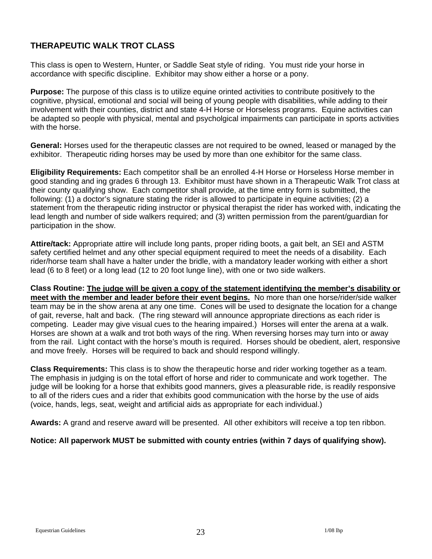# **THERAPEUTIC WALK TROT CLASS**

This class is open to Western, Hunter, or Saddle Seat style of riding. You must ride your horse in accordance with specific discipline. Exhibitor may show either a horse or a pony.

**Purpose:** The purpose of this class is to utilize equine orinted activities to contribute positively to the cognitive, physical, emotional and social will being of young people with disabilities, while adding to their involvement with their counties, district and state 4-H Horse or Horseless programs. Equine activities can be adapted so people with physical, mental and psycholgical impairments can participate in sports activities with the horse.

**General:** Horses used for the therapeutic classes are not required to be owned, leased or managed by the exhibitor. Therapeutic riding horses may be used by more than one exhibitor for the same class.

**Eligibility Requirements:** Each competitor shall be an enrolled 4-H Horse or Horseless Horse member in good standing and ing grades 6 through 13. Exhibitor must have shown in a Therapeutic Walk Trot class at their county qualifying show. Each competitor shall provide, at the time entry form is submitted, the following: (1) a doctor's signature stating the rider is allowed to participate in equine activities; (2) a statement from the therapeutic riding instructor or physical therapist the rider has worked with, indicating the lead length and number of side walkers required; and (3) written permission from the parent/guardian for participation in the show.

**Attire/tack:** Appropriate attire will include long pants, proper riding boots, a gait belt, an SEI and ASTM safety certified helmet and any other special equipment required to meet the needs of a disability. Each rider/horse team shall have a halter under the bridle, with a mandatory leader working with either a short lead (6 to 8 feet) or a long lead (12 to 20 foot lunge line), with one or two side walkers.

**Class Routine: The judge will be given a copy of the statement identifying the member's disability or meet with the member and leader before their event begins.** No more than one horse/rider/side walker team may be in the show arena at any one time. Cones will be used to designate the location for a change of gait, reverse, halt and back. (The ring steward will announce appropriate directions as each rider is competing. Leader may give visual cues to the hearing impaired.) Horses will enter the arena at a walk. Horses are shown at a walk and trot both ways of the ring. When reversing horses may turn into or away from the rail. Light contact with the horse's mouth is required. Horses should be obedient, alert, responsive and move freely. Horses will be required to back and should respond willingly.

**Class Requirements:** This class is to show the therapeutic horse and rider working together as a team. The emphasis in judging is on the total effort of horse and rider to communicate and work together. The judge will be looking for a horse that exhibits good manners, gives a pleasurable ride, is readily responsive to all of the riders cues and a rider that exhibits good communication with the horse by the use of aids (voice, hands, legs, seat, weight and artificial aids as appropriate for each individual.)

**Awards:** A grand and reserve award will be presented. All other exhibitors will receive a top ten ribbon.

# **Notice: All paperwork MUST be submitted with county entries (within 7 days of qualifying show).**